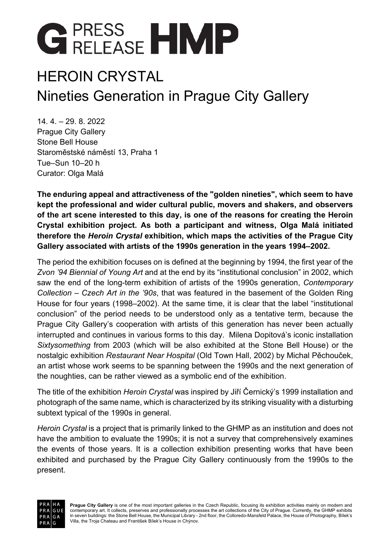

### HEROIN CRYSTAL Nineties Generation in Prague City Gallery

14. 4. – 29. 8. 2022 Prague City Gallery Stone Bell House Staroměstské náměstí 13, Praha 1 Tue–Sun 10–20 h Curator: Olga Malá

**The enduring appeal and attractiveness of the "golden nineties", which seem to have kept the professional and wider cultural public, movers and shakers, and observers of the art scene interested to this day, is one of the reasons for creating the Heroin Crystal exhibition project. As both a participant and witness, Olga Malá initiated therefore the** *Heroin Crystal* **exhibition, which maps the activities of the Prague City Gallery associated with artists of the 1990s generation in the years 1994–2002.**

The period the exhibition focuses on is defined at the beginning by 1994, the first year of the *Zvon '94 Biennial of Young Art* and at the end by its "institutional conclusion" in 2002, which saw the end of the long-term exhibition of artists of the 1990s generation, *Contemporary Collection – Czech Art in the '90s*, that was featured in the basement of the Golden Ring House for four years (1998–2002). At the same time, it is clear that the label "institutional conclusion" of the period needs to be understood only as a tentative term, because the Prague City Gallery's cooperation with artists of this generation has never been actually interrupted and continues in various forms to this day. Milena Dopitová's iconic installation *Sixtysomething* from 2003 (which will be also exhibited at the Stone Bell House) or the nostalgic exhibition *Restaurant Near Hospital* (Old Town Hall, 2002) by Michal Pěchouček, an artist whose work seems to be spanning between the 1990s and the next generation of the noughties, can be rather viewed as a symbolic end of the exhibition.

The title of the exhibition *Heroin Crystal* was inspired by Jiří Černický's 1999 installation and photograph of the same name, which is characterized by its striking visuality with a disturbing subtext typical of the 1990s in general.

*Heroin Crystal* is a project that is primarily linked to the GHMP as an institution and does not have the ambition to evaluate the 1990s; it is not a survey that comprehensively examines the events of those years. It is a collection exhibition presenting works that have been exhibited and purchased by the Prague City Gallery continuously from the 1990s to the present.

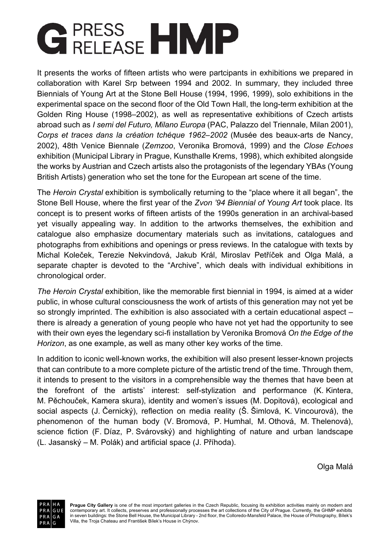# **GERESS HMP**

It presents the works of fifteen artists who were partcipants in exhibitions we prepared in collaboration with Karel Srp between 1994 and 2002. In summary, they included three Biennials of Young Art at the Stone Bell House (1994, 1996, 1999), solo exhibitions in the experimental space on the second floor of the Old Town Hall, the long-term exhibition at the Golden Ring House (1998–2002), as well as representative exhibitions of Czech artists abroad such as *I semi del Futuro, Milano Europa* (PAC, Palazzo del Triennale, Milan 2001), *Corps et traces dans la création tchéque 1962–2002* (Musée des beaux-arts de Nancy, 2002), 48th Venice Biennale (*Zemzoo*, Veronika Bromová, 1999) and the *Close Echoes* exhibition (Municipal Library in Prague, Kunsthalle Krems, 1998), which exhibited alongside the works by Austrian and Czech artists also the protagonists of the legendary YBAs (Young British Artists) generation who set the tone for the European art scene of the time.

The *Heroin Crystal* exhibition is symbolically returning to the "place where it all began", the Stone Bell House, where the first year of the *Zvon '94 Biennial of Young Art* took place. Its concept is to present works of fifteen artists of the 1990s generation in an archival-based yet visually appealing way. In addition to the artworks themselves, the exhibition and catalogue also emphasize documentary materials such as invitations, catalogues and photographs from exhibitions and openings or press reviews. In the catalogue with texts by Michal Koleček, Terezie Nekvindová, Jakub Král, Miroslav Petříček and Olga Malá, a separate chapter is devoted to the "Archive", which deals with individual exhibitions in chronological order.

*The Heroin Crystal* exhibition, like the memorable first biennial in 1994, is aimed at a wider public, in whose cultural consciousness the work of artists of this generation may not yet be so strongly imprinted. The exhibition is also associated with a certain educational aspect – there is already a generation of young people who have not yet had the opportunity to see with their own eyes the legendary sci-fi installation by Veronika Bromová *On the Edge of the Horizon*, as one example, as well as many other key works of the time.

In addition to iconic well-known works, the exhibition will also present lesser-known projects that can contribute to a more complete picture of the artistic trend of the time. Through them, it intends to present to the visitors in a comprehensible way the themes that have been at the forefront of the artists' interest: self-stylization and performance (K. Kintera, M. Pěchouček, Kamera skura), identity and women's issues (M. Dopitová), ecological and social aspects (J. Černický), reflection on media reality (Š. Šimlová, K. Vincourová), the phenomenon of the human body (V. Bromová, P. Humhal, M. Othová, M. Thelenová), science fiction (F. Díaz, P. Svárovský) and highlighting of nature and urban landscape (L. Jasanský – M. Polák) and artificial space (J. Příhoda).

Olga Malá

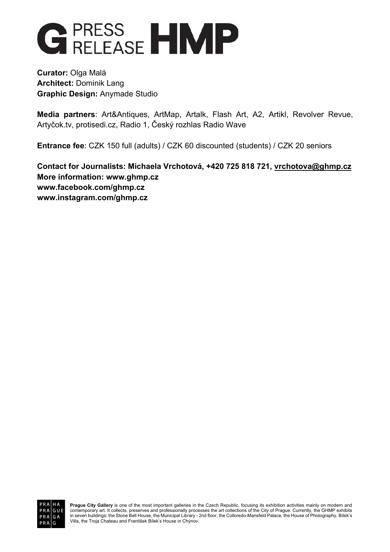

**Curator:** Olga Malá **Architect:** Dominik Lang **Graphic Design:** Anymade Studio

**Media partners**: Art&Antiques, ArtMap, Artalk, Flash Art, A2, Artikl, Revolver Revue, Artyčok.tv, protisedi.cz, Radio 1, Český rozhlas Radio Wave

**Entrance fee**: CZK 150 full (adults) / CZK 60 discounted (students) / CZK 20 seniors

**Contact for Journalists: Michaela Vrchotová, +420 725 818 721, vrchotova@ghmp.cz More information: www.ghmp.cz www.facebook.com/ghmp.cz www.instagram.com/ghmp.cz**



**Prague City Gallery** is one of the most important galleries in the Czech Republic, focusing its exhibition activities mainly on modern and contemporary art. It collects, preserves and professionally processes the art collections of the City of Prague. Currently, the GHMP exhibits<br>in seven buildings: the Stone Bell House, the Municipal Library - 2nd floor, the Villa, the Troja Chateau and František Bílek's House in Chýnov.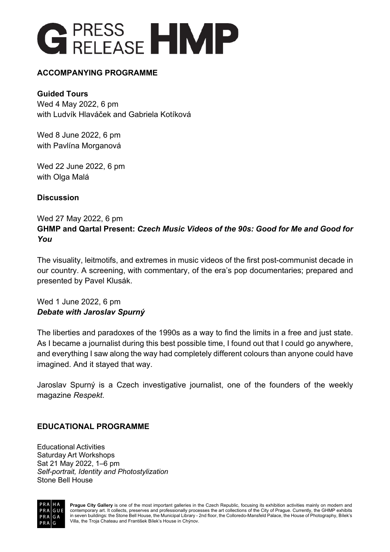

#### **ACCOMPANYING PROGRAMME**

#### **Guided Tours**

Wed 4 May 2022, 6 pm with Ludvík Hlaváček and Gabriela Kotíková

Wed 8 June 2022, 6 pm with Pavlína Morganová

Wed 22 June 2022, 6 pm with Olga Malá

#### **Discussion**

#### Wed 27 May 2022, 6 pm **GHMP and Qartal Present:** *Czech Music Videos of the 90s: Good for Me and Good for You*

The visuality, leitmotifs, and extremes in music videos of the first post-communist decade in our country. A screening, with commentary, of the era's pop documentaries; prepared and presented by Pavel Klusák.

Wed 1 June 2022, 6 pm *Debate with Jaroslav Spurný*

The liberties and paradoxes of the 1990s as a way to find the limits in a free and just state. As I became a journalist during this best possible time, I found out that I could go anywhere, and everything I saw along the way had completely different colours than anyone could have imagined. And it stayed that way.

Jaroslav Spurný is a Czech investigative journalist, one of the founders of the weekly magazine *Respekt*.

#### **EDUCATIONAL PROGRAMME**

Educational Activities Saturday Art Workshops Sat 21 May 2022, 1–6 pm *Self-portrait, Identity and Photostylization* Stone Bell House



**Prague City Gallery** is one of the most important galleries in the Czech Republic, focusing its exhibition activities mainly on modern and contemporary art. It collects, preserves and professionally processes the art collections of the City of Prague. Currently, the GHMP exhibits<br>in seven buildings: the Stone Bell House, the Municipal Library - 2nd floor, the Villa, the Troja Chateau and František Bílek's House in Chýnov.